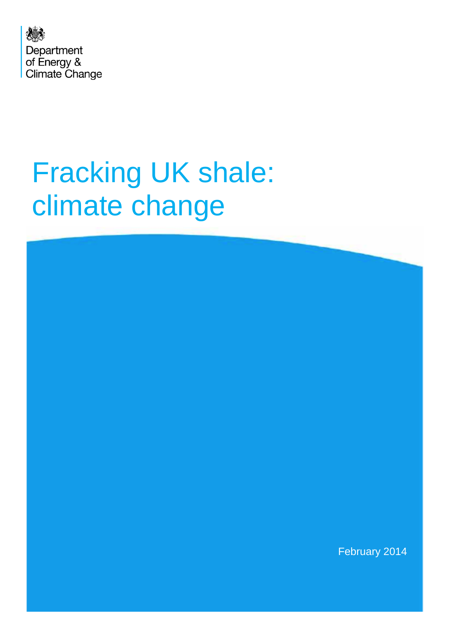

# Fracking UK shale: climate change

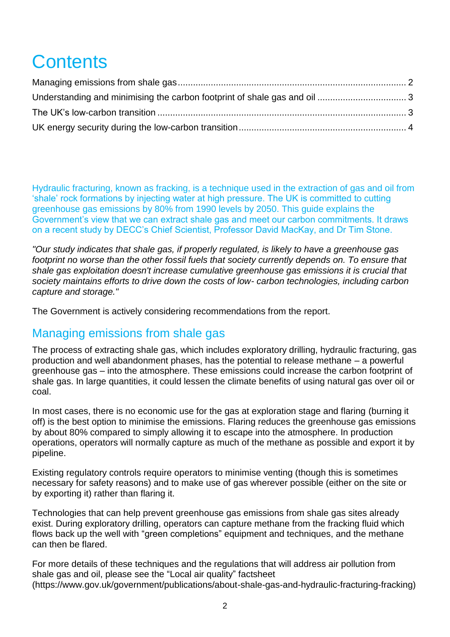# **Contents**

Hydraulic fracturing, known as fracking, is a technique used in the extraction of gas and oil from 'shale' rock formations by injecting water at high pressure. The UK is committed to cutting greenhouse gas emissions by 80% from 1990 levels by 2050. This guide explains the Government's view that we can extract shale gas and meet our carbon commitments. It draws on a recent study by DECC's Chief Scientist, Professor David MacKay, and Dr Tim Stone.

*"Our study indicates that shale gas, if properly regulated, is likely to have a greenhouse gas*  footprint no worse than the other fossil fuels that society currently depends on. To ensure that *shale gas exploitation doesn't increase cumulative greenhouse gas emissions it is crucial that society maintains efforts to drive down the costs of low- carbon technologies, including carbon capture and storage."*

The Government is actively considering recommendations from the report.

#### <span id="page-1-0"></span>Managing emissions from shale gas

The process of extracting shale gas, which includes exploratory drilling, hydraulic fracturing, gas production and well abandonment phases, has the potential to release methane – a powerful greenhouse gas – into the atmosphere. These emissions could increase the carbon footprint of shale gas. In large quantities, it could lessen the climate benefits of using natural gas over oil or coal.

In most cases, there is no economic use for the gas at exploration stage and flaring (burning it off) is the best option to minimise the emissions. Flaring reduces the greenhouse gas emissions by about 80% compared to simply allowing it to escape into the atmosphere. In production operations, operators will normally capture as much of the methane as possible and export it by pipeline.

Existing regulatory controls require operators to minimise venting (though this is sometimes necessary for safety reasons) and to make use of gas wherever possible (either on the site or by exporting it) rather than flaring it.

Technologies that can help prevent greenhouse gas emissions from shale gas sites already exist. During exploratory drilling, operators can capture methane from the fracking fluid which flows back up the well with "green completions" equipment and techniques, and the methane can then be flared.

<span id="page-1-1"></span>For more details of these techniques and the regulations that will address air pollution from shale gas and oil, please see the "Local air quality" factsheet (https://www.gov.uk/government/publications/about-shale-gas-and-hydraulic-fracturing-fracking)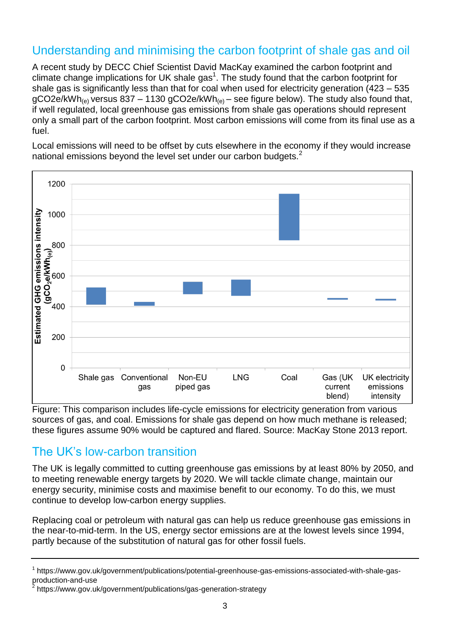# Understanding and minimising the carbon footprint of shale gas and oil

A recent study by DECC Chief Scientist David MacKay examined the carbon footprint and climate change implications for UK shale gas<sup>1</sup>. The study found that the carbon footprint for shale gas is significantly less than that for coal when used for electricity generation (423 – 535  $gCO2e/kWh_{(e)}$  versus 837 – 1130  $gCO2e/kWh_{(e)}$  – see figure below). The study also found that, if well regulated, local greenhouse gas emissions from shale gas operations should represent only a small part of the carbon footprint. Most carbon emissions will come from its final use as a fuel.

Local emissions will need to be offset by cuts elsewhere in the economy if they would increase national emissions beyond the level set under our carbon budgets.<sup>2</sup>



Figure: This comparison includes life-cycle emissions for electricity generation from various sources of gas, and coal. Emissions for shale gas depend on how much methane is released: these figures assume 90% would be captured and flared. Source: MacKay Stone 2013 report.

## <span id="page-2-0"></span>The UK's low-carbon transition

The UK is legally committed to cutting greenhouse gas emissions by at least 80% by 2050, and to meeting renewable energy targets by 2020. We will tackle climate change, maintain our energy security, minimise costs and maximise benefit to our economy. To do this, we must continue to develop low-carbon energy supplies.

Replacing coal or petroleum with natural gas can help us reduce greenhouse gas emissions in the near-to-mid-term. In the US, energy sector emissions are at the lowest levels since 1994, partly because of the substitution of natural gas for other fossil fuels.

<span id="page-2-1"></span><sup>&</sup>lt;sup>1</sup> https://www.gov.uk/government/publications/potential-greenhouse-gas-emissions-associated-with-shale-gasproduction-and-use

<sup>&</sup>lt;sup>2</sup> https://www.gov.uk/government/publications/gas-generation-strategy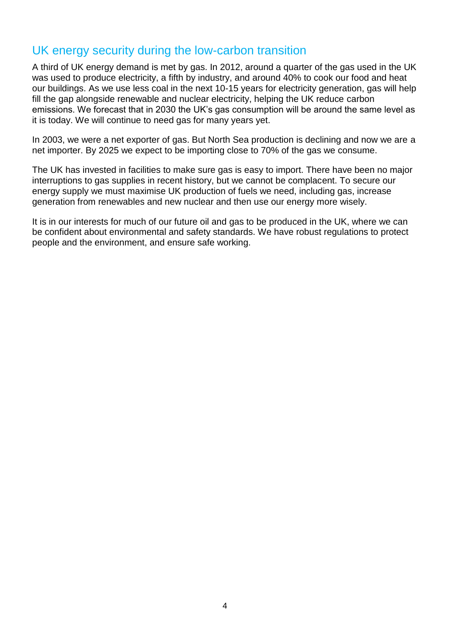## UK energy security during the low-carbon transition

A third of UK energy demand is met by gas. In 2012, around a quarter of the gas used in the UK was used to produce electricity, a fifth by industry, and around 40% to cook our food and heat our buildings. As we use less coal in the next 10-15 years for electricity generation, gas will help fill the gap alongside renewable and nuclear electricity, helping the UK reduce carbon emissions. We forecast that in 2030 the UK's gas consumption will be around the same level as it is today. We will continue to need gas for many years yet.

In 2003, we were a net exporter of gas. But North Sea production is declining and now we are a net importer. By 2025 we expect to be importing close to 70% of the gas we consume.

The UK has invested in facilities to make sure gas is easy to import. There have been no major interruptions to gas supplies in recent history, but we cannot be complacent. To secure our energy supply we must maximise UK production of fuels we need, including gas, increase generation from renewables and new nuclear and then use our energy more wisely.

It is in our interests for much of our future oil and gas to be produced in the UK, where we can be confident about environmental and safety standards. We have robust regulations to protect people and the environment, and ensure safe working.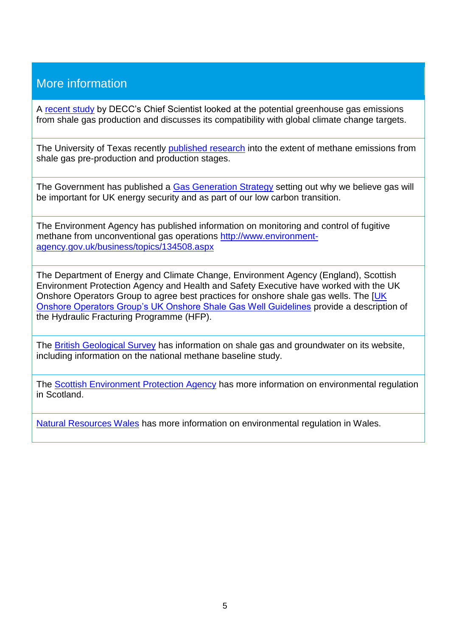# More information

A [recent study](https://www.gov.uk/government/publications/potential-greenhouse-gas-emissions-associated-with-shale-gas-production-and-use) by DECC's Chief Scientist looked at the potential greenhouse gas emissions from shale gas production and discusses its compatibility with global climate change targets.

The University of Texas recently [published research](http://www.pnas.org/content/early/2013/10/09/1304880110) into the extent of methane emissions from shale gas pre-production and production stages.

The Government has published a [Gas Generation Strategy](https://www.gov.uk/government/uploads/system/uploads/attachment_data/file/65654/7165-gas-generation-strategy.pdf) setting out why we believe gas will be important for UK energy security and as part of our low carbon transition.

The Environment Agency has published information on monitoring and control of fugitive methane from unconventional gas operations [http://www.environment](http://www.environment-agency.gov.uk/business/topics/134508.aspx)[agency.gov.uk/business/topics/134508.aspx](http://www.environment-agency.gov.uk/business/topics/134508.aspx)

The Department of Energy and Climate Change, Environment Agency (England), Scottish Environment Protection Agency and Health and Safety Executive have worked with the UK Onshore Operators Group to agree best practices for onshore shale gas wells. The [UK [Onshore Operators Group's UK Onshore Shale Gas Well Guidelines](http://www.ukoog.org.uk/elements/pdfs/ShaleGasWellGuidelines.pdf) provide a description of the Hydraulic Fracturing Programme (HFP).

The [British Geological Survey](http://www.bgs.ac.uk/research/groundwater/shaleGas/home.html) has information on shale gas and groundwater on its website, including information on the national methane baseline study.

The [Scottish Environment Protection Agency](http://www.sepa.org.uk/customer_information/energy_industry/unconventional_gas.aspx) has more information on environmental regulation in Scotland.

[Natural Resources Wales](http://naturalresourceswales.gov.uk/?lang=en) has more information on environmental regulation in Wales.